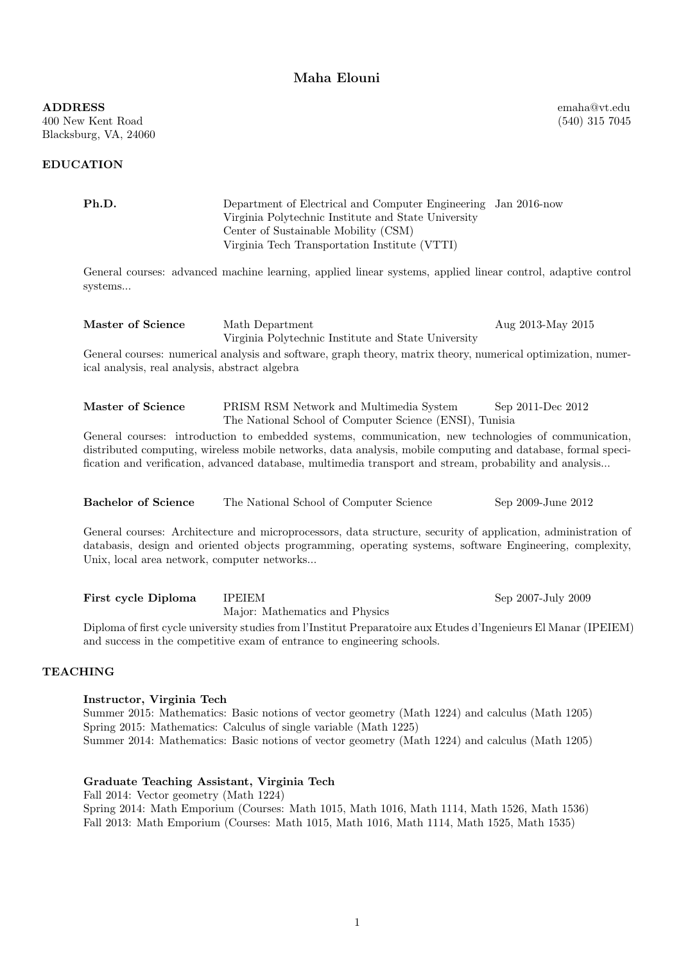## Maha Elouni

emaha@vt.edu (540) 315 7045

ADDRESS 400 New Kent Road Blacksburg, VA, 24060

## EDUCATION

|                 | Ph.D.                                                                                                                                                                                                                                                                                                                           | Department of Electrical and Computer Engineering Jan 2016-now<br>Virginia Polytechnic Institute and State University<br>Center of Sustainable Mobility (CSM) |                    |  |
|-----------------|---------------------------------------------------------------------------------------------------------------------------------------------------------------------------------------------------------------------------------------------------------------------------------------------------------------------------------|---------------------------------------------------------------------------------------------------------------------------------------------------------------|--------------------|--|
|                 |                                                                                                                                                                                                                                                                                                                                 | Virginia Tech Transportation Institute (VTTI)                                                                                                                 |                    |  |
|                 | General courses: advanced machine learning, applied linear systems, applied linear control, adaptive control<br>systems                                                                                                                                                                                                         |                                                                                                                                                               |                    |  |
|                 | Master of Science                                                                                                                                                                                                                                                                                                               | Math Department<br>Virginia Polytechnic Institute and State University                                                                                        | Aug 2013-May 2015  |  |
|                 | General courses: numerical analysis and software, graph theory, matrix theory, numerical optimization, numer-<br>ical analysis, real analysis, abstract algebra                                                                                                                                                                 |                                                                                                                                                               |                    |  |
|                 | Master of Science                                                                                                                                                                                                                                                                                                               | PRISM RSM Network and Multimedia System<br>The National School of Computer Science (ENSI), Tunisia                                                            | Sep 2011-Dec 2012  |  |
|                 | General courses: introduction to embedded systems, communication, new technologies of communication,<br>distributed computing, wireless mobile networks, data analysis, mobile computing and database, formal speci-<br>fication and verification, advanced database, multimedia transport and stream, probability and analysis |                                                                                                                                                               |                    |  |
|                 | <b>Bachelor of Science</b>                                                                                                                                                                                                                                                                                                      | The National School of Computer Science                                                                                                                       | Sep 2009-June 2012 |  |
|                 | General courses: Architecture and microprocessors, data structure, security of application, administration of<br>databasis, design and oriented objects programming, operating systems, software Engineering, complexity,<br>Unix, local area network, computer networks                                                        |                                                                                                                                                               |                    |  |
|                 | First cycle Diploma                                                                                                                                                                                                                                                                                                             | <b>IPEIEM</b><br>Major: Mathematics and Physics                                                                                                               | Sep 2007-July 2009 |  |
|                 | Diploma of first cycle university studies from l'Institut Preparatoire aux Etudes d'Ingenieurs El Manar (IPEIEM)<br>and success in the competitive exam of entrance to engineering schools.                                                                                                                                     |                                                                                                                                                               |                    |  |
| <b>TEACHING</b> |                                                                                                                                                                                                                                                                                                                                 |                                                                                                                                                               |                    |  |
|                 | Instructor, Virginia Tech<br>Summer 2015: Mathematics: Basic notions of vector geometry (Math 1224) and calculus (Math 1205)<br>Spring 2015: Mathematics: Calculus of single variable (Math 1225)                                                                                                                               |                                                                                                                                                               |                    |  |
|                 | Summer 2014: Mathematics: Basic notions of vector geometry (Math 1224) and calculus (Math 1205)                                                                                                                                                                                                                                 |                                                                                                                                                               |                    |  |
|                 | Graduate Teaching Assistant, Virginia Tech<br>Fall 2014: Vector geometry (Math 1224)                                                                                                                                                                                                                                            |                                                                                                                                                               |                    |  |
|                 | Spring 2014: Math Emporium (Courses: Math 1015, Math 1016, Math 1114, Math 1526, Math 1536)<br>Fall 2013: Math Emporium (Courses: Math 1015, Math 1016, Math 1114, Math 1525, Math 1535)                                                                                                                                        |                                                                                                                                                               |                    |  |

1